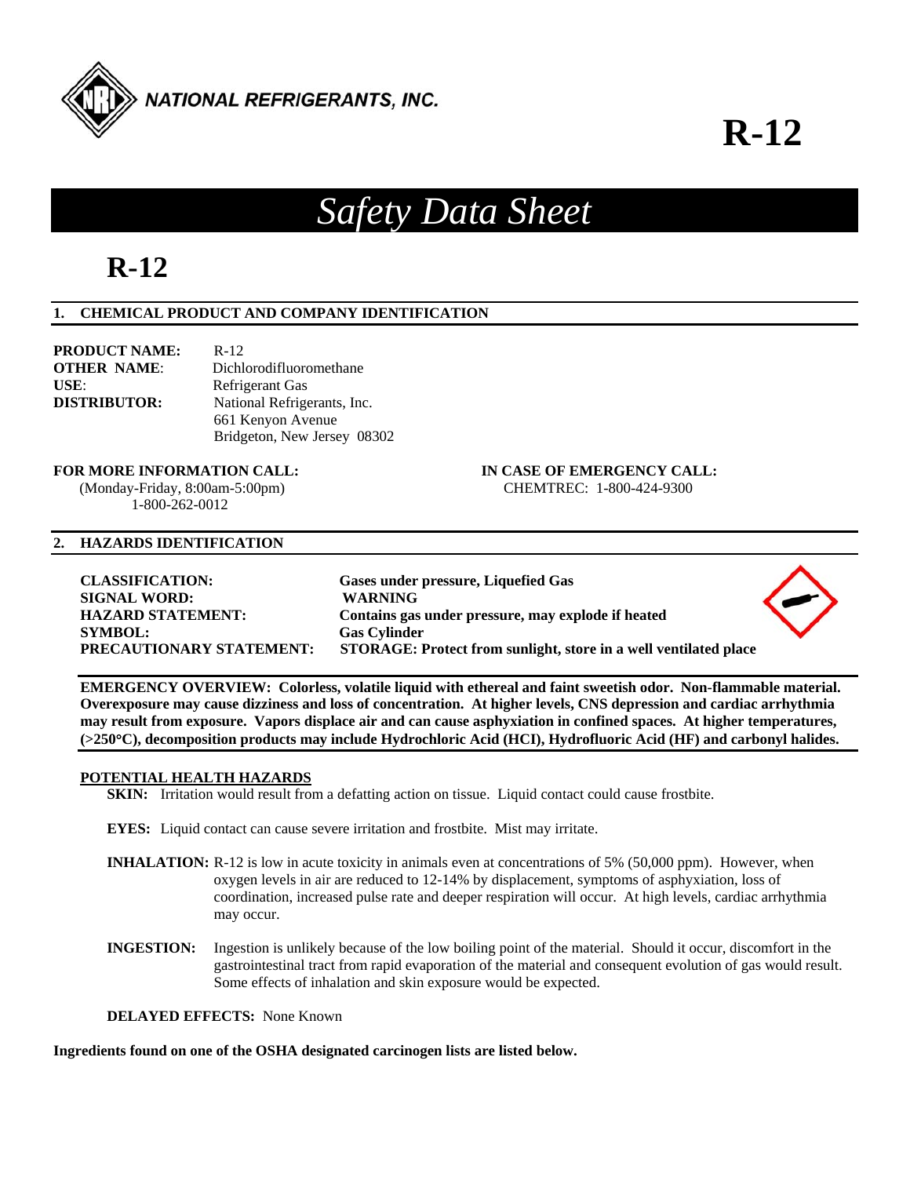

# **R-12**

# *Safety Data Sheet*

## **R-12**

### **1. CHEMICAL PRODUCT AND COMPANY IDENTIFICATION**

| <b>PRODUCT NAME:</b> | $R-12$                      |
|----------------------|-----------------------------|
| <b>OTHER NAME:</b>   | Dichlorodifluoromethane     |
| $USE:$               | Refrigerant Gas             |
| <b>DISTRIBUTOR:</b>  | National Refrigerants, Inc. |
|                      | 661 Kenyon Avenue           |
|                      | Bridgeton, New Jersey 08302 |

## **FOR MORE INFORMATION CALL: IN CASE OF EMERGENCY CALL:**

1-800-262-0012

## (Monday-Friday, 8:00am-5:00pm) CHEMTREC: 1-800-424-9300

#### **2. HAZARDS IDENTIFICATION**

| <b>CLASSIFICATION:</b>          | Gases under pressure, Liquefied Gas                              |  |
|---------------------------------|------------------------------------------------------------------|--|
| <b>SIGNAL WORD:</b>             | <b>WARNING</b>                                                   |  |
| <b>HAZARD STATEMENT:</b>        | Contains gas under pressure, may explode if heated               |  |
| <b>SYMBOL:</b>                  | <b>Gas Cylinder</b>                                              |  |
| <b>PRECAUTIONARY STATEMENT:</b> | STORAGE: Protect from sunlight, store in a well ventilated place |  |
|                                 |                                                                  |  |

**EMERGENCY OVERVIEW: Colorless, volatile liquid with ethereal and faint sweetish odor. Non-flammable material. Overexposure may cause dizziness and loss of concentration. At higher levels, CNS depression and cardiac arrhythmia may result from exposure. Vapors displace air and can cause asphyxiation in confined spaces. At higher temperatures, (>250C), decomposition products may include Hydrochloric Acid (HCI), Hydrofluoric Acid (HF) and carbonyl halides.** 

#### **POTENTIAL HEALTH HAZARDS**

**SKIN:** Irritation would result from a defatting action on tissue. Liquid contact could cause frostbite.

- **EYES:** Liquid contact can cause severe irritation and frostbite. Mist may irritate.
- **INHALATION:** R-12 is low in acute toxicity in animals even at concentrations of 5% (50,000 ppm). However, when oxygen levels in air are reduced to 12-14% by displacement, symptoms of asphyxiation, loss of coordination, increased pulse rate and deeper respiration will occur. At high levels, cardiac arrhythmia may occur.
- **INGESTION:** Ingestion is unlikely because of the low boiling point of the material. Should it occur, discomfort in the gastrointestinal tract from rapid evaporation of the material and consequent evolution of gas would result. Some effects of inhalation and skin exposure would be expected.

**DELAYED EFFECTS:** None Known

**Ingredients found on one of the OSHA designated carcinogen lists are listed below.**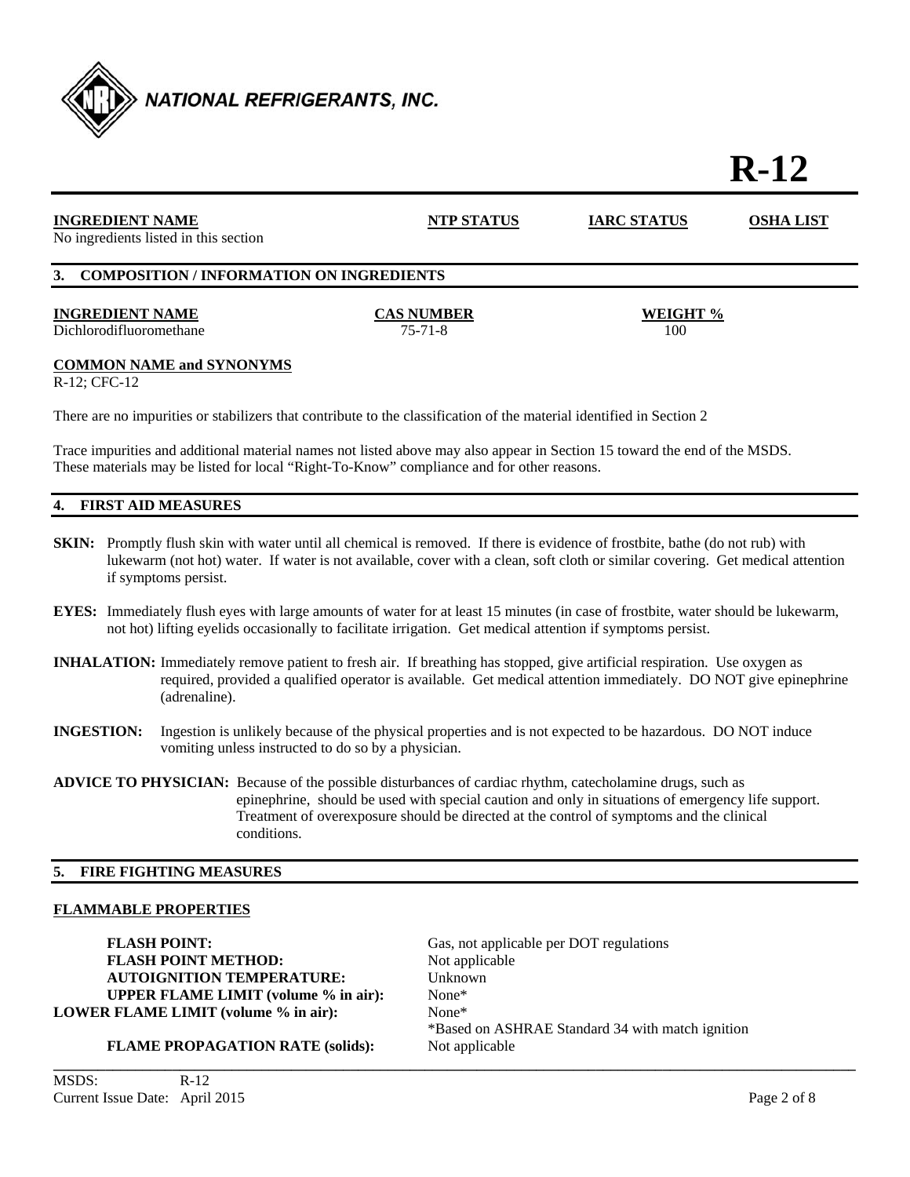

# **R-12**

| <b>INGREDIENT NAME</b><br>No ingredients listed in this section | <b>NTP STATUS</b>                  | <b>IARC STATUS</b> | <b>OSHA LIST</b> |
|-----------------------------------------------------------------|------------------------------------|--------------------|------------------|
| 3. COMPOSITION / INFORMATION ON INGREDIENTS                     |                                    |                    |                  |
| <b>INGREDIENT NAME</b><br>Dichlorodifluoromethane               | <b>CAS NUMBER</b><br>$75 - 71 - 8$ | WEIGHT %<br>100    |                  |
| <b>COMMON NAME and SYNONYMS</b>                                 |                                    |                    |                  |

R-12; CFC-12

There are no impurities or stabilizers that contribute to the classification of the material identified in Section 2

Trace impurities and additional material names not listed above may also appear in Section 15 toward the end of the MSDS. These materials may be listed for local "Right-To-Know" compliance and for other reasons.

#### **4. FIRST AID MEASURES**

- **SKIN:** Promptly flush skin with water until all chemical is removed. If there is evidence of frostbite, bathe (do not rub) with lukewarm (not hot) water. If water is not available, cover with a clean, soft cloth or similar covering. Get medical attention if symptoms persist.
- **EYES:** Immediately flush eyes with large amounts of water for at least 15 minutes (in case of frostbite, water should be lukewarm, not hot) lifting eyelids occasionally to facilitate irrigation. Get medical attention if symptoms persist.
- **INHALATION:** Immediately remove patient to fresh air. If breathing has stopped, give artificial respiration. Use oxygen as required, provided a qualified operator is available. Get medical attention immediately. DO NOT give epinephrine (adrenaline).
- **INGESTION:** Ingestion is unlikely because of the physical properties and is not expected to be hazardous. DO NOT induce vomiting unless instructed to do so by a physician.
- **ADVICE TO PHYSICIAN:** Because of the possible disturbances of cardiac rhythm, catecholamine drugs, such as epinephrine, should be used with special caution and only in situations of emergency life support. Treatment of overexposure should be directed at the control of symptoms and the clinical conditions.

#### **5. FIRE FIGHTING MEASURES**

#### **FLAMMABLE PROPERTIES**

**FLASH POINT:** Gas, not applicable per DOT regulations **FLASH POINT METHOD:** Not applicable **AUTOIGNITION TEMPERATURE:** Unknown **UPPER FLAME LIMIT (volume % in air):** None\* **LOWER FLAME LIMIT (volume % in air):** None\*

\*Based on ASHRAE Standard 34 with match ignition

**FLAME PROPAGATION RATE (solids):** Not applicable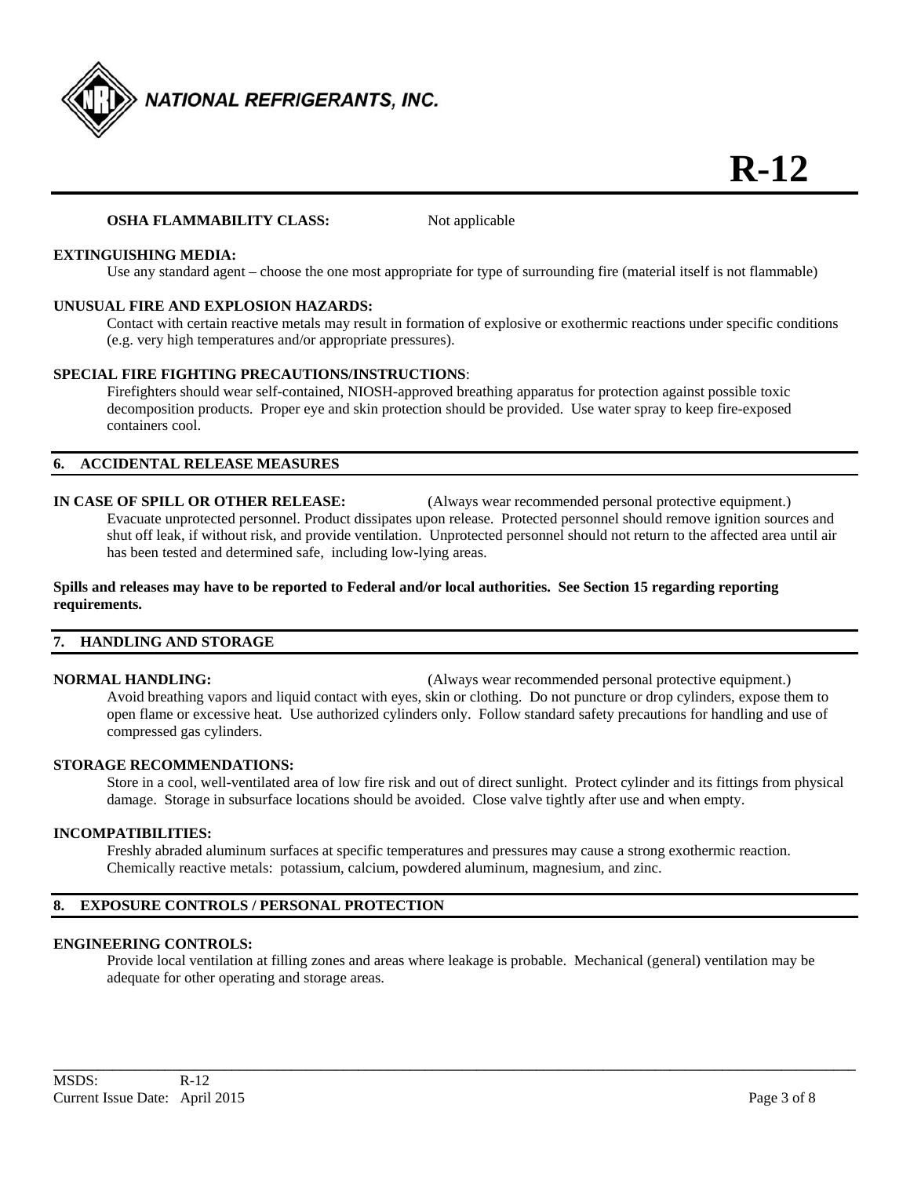

#### **OSHA FLAMMABILITY CLASS:** Not applicable

#### **EXTINGUISHING MEDIA:**

Use any standard agent – choose the one most appropriate for type of surrounding fire (material itself is not flammable)

#### **UNUSUAL FIRE AND EXPLOSION HAZARDS:**

 Contact with certain reactive metals may result in formation of explosive or exothermic reactions under specific conditions (e.g. very high temperatures and/or appropriate pressures).

#### **SPECIAL FIRE FIGHTING PRECAUTIONS/INSTRUCTIONS**:

 Firefighters should wear self-contained, NIOSH-approved breathing apparatus for protection against possible toxic decomposition products. Proper eye and skin protection should be provided. Use water spray to keep fire-exposed containers cool.

#### **6. ACCIDENTAL RELEASE MEASURES**

### **IN CASE OF SPILL OR OTHER RELEASE:** (Always wear recommended personal protective equipment.) Evacuate unprotected personnel. Product dissipates upon release. Protected personnel should remove ignition sources and

shut off leak, if without risk, and provide ventilation. Unprotected personnel should not return to the affected area until air has been tested and determined safe, including low-lying areas.

#### **Spills and releases may have to be reported to Federal and/or local authorities. See Section 15 regarding reporting requirements.**

#### **7. HANDLING AND STORAGE**

**NORMAL HANDLING:** (Always wear recommended personal protective equipment.) Avoid breathing vapors and liquid contact with eyes, skin or clothing. Do not puncture or drop cylinders, expose them to open flame or excessive heat. Use authorized cylinders only. Follow standard safety precautions for handling and use of compressed gas cylinders.

#### **STORAGE RECOMMENDATIONS:**

 Store in a cool, well-ventilated area of low fire risk and out of direct sunlight. Protect cylinder and its fittings from physical damage. Storage in subsurface locations should be avoided. Close valve tightly after use and when empty.

#### **INCOMPATIBILITIES:**

Freshly abraded aluminum surfaces at specific temperatures and pressures may cause a strong exothermic reaction. Chemically reactive metals: potassium, calcium, powdered aluminum, magnesium, and zinc.

#### **8. EXPOSURE CONTROLS / PERSONAL PROTECTION**

#### **ENGINEERING CONTROLS:**

 Provide local ventilation at filling zones and areas where leakage is probable. Mechanical (general) ventilation may be adequate for other operating and storage areas.

**\_\_\_\_\_\_\_\_\_\_\_\_\_\_\_\_\_\_\_\_\_\_\_\_\_\_\_\_\_\_\_\_\_\_\_\_\_\_\_\_\_\_\_\_\_\_\_\_\_\_\_\_\_\_\_\_\_\_\_\_\_\_\_\_\_\_\_\_\_\_\_\_\_\_\_\_\_\_\_\_\_\_\_\_\_\_\_\_\_\_\_\_\_\_\_\_\_\_\_\_\_\_\_\_\_\_\_\_**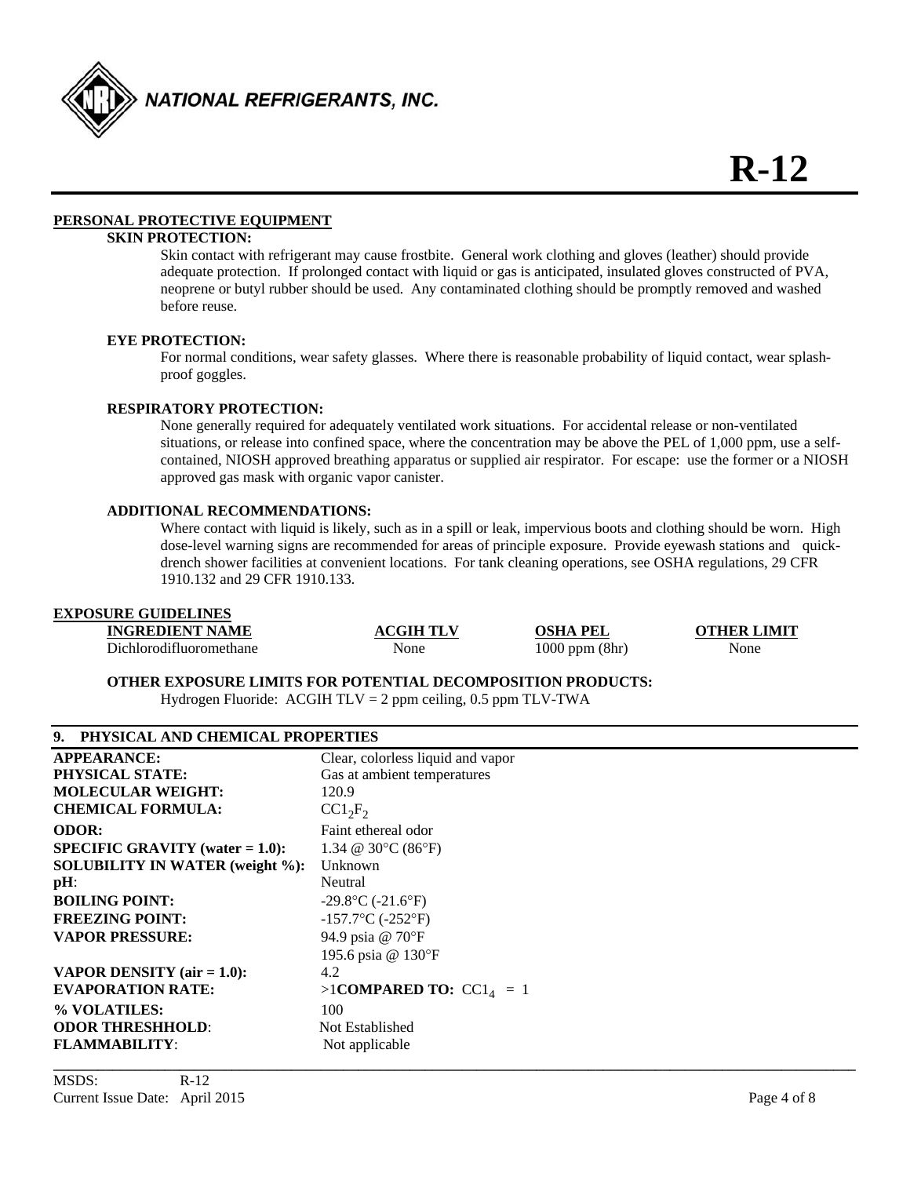

#### **PERSONAL PROTECTIVE EQUIPMENT**

### **SKIN PROTECTION:**

 Skin contact with refrigerant may cause frostbite. General work clothing and gloves (leather) should provide adequate protection. If prolonged contact with liquid or gas is anticipated, insulated gloves constructed of PVA, neoprene or butyl rubber should be used. Any contaminated clothing should be promptly removed and washed before reuse.

#### **EYE PROTECTION:**

For normal conditions, wear safety glasses. Where there is reasonable probability of liquid contact, wear splash proof goggles.

#### **RESPIRATORY PROTECTION:**

 None generally required for adequately ventilated work situations. For accidental release or non-ventilated situations, or release into confined space, where the concentration may be above the PEL of 1,000 ppm, use a self contained, NIOSH approved breathing apparatus or supplied air respirator. For escape: use the former or a NIOSH approved gas mask with organic vapor canister.

#### **ADDITIONAL RECOMMENDATIONS:**

Where contact with liquid is likely, such as in a spill or leak, impervious boots and clothing should be worn. High dose-level warning signs are recommended for areas of principle exposure. Provide eyewash stations and quick drench shower facilities at convenient locations. For tank cleaning operations, see OSHA regulations, 29 CFR 1910.132 and 29 CFR 1910.133.

#### **EXPOSURE GUIDELINES**

| <b>INGREDIENT NAME</b>  | <b>ACGIH TLV</b> | OSHA<br>PEI        | <b>OTHER LIMIT</b> |
|-------------------------|------------------|--------------------|--------------------|
| Dichlorodifluoromethane | None             | $1000$ ppm $(8hr)$ | None               |

**OTHER EXPOSURE LIMITS FOR POTENTIAL DECOMPOSITION PRODUCTS:** 

Hydrogen Fluoride: ACGIH  $TLV = 2$  ppm ceiling, 0.5 ppm  $TLV-TWA$ 

| 9. PHYSICAL AND CHEMICAL PROPERTIES       |                                                 |
|-------------------------------------------|-------------------------------------------------|
| <b>APPEARANCE:</b>                        | Clear, colorless liquid and vapor               |
| <b>PHYSICAL STATE:</b>                    | Gas at ambient temperatures                     |
| <b>MOLECULAR WEIGHT:</b>                  | 120.9                                           |
| <b>CHEMICAL FORMULA:</b>                  | $CC1_2F_2$                                      |
| <b>ODOR:</b>                              | Faint ethereal odor                             |
| <b>SPECIFIC GRAVITY</b> (water $= 1.0$ ): | 1.34 @ 30 $\rm ^{\circ}C$ (86 $\rm ^{\circ}F$ ) |
| <b>SOLUBILITY IN WATER (weight %):</b>    | Unknown                                         |
| $pH$ :                                    | Neutral                                         |
| <b>BOILING POINT:</b>                     | $-29.8$ °C ( $-21.6$ °F)                        |
| <b>FREEZING POINT:</b>                    | $-157.7$ °C (-252°F)                            |
| <b>VAPOR PRESSURE:</b>                    | 94.9 psia @ 70°F                                |
|                                           | 195.6 psia @ 130°F                              |
| <b>VAPOR DENSITY</b> ( $air = 1.0$ ):     | 4.2                                             |
| <b>EVAPORATION RATE:</b>                  | >1COMPARED TO: $CC1_4 = 1$                      |
| % VOLATILES:                              | 100                                             |
| <b>ODOR THRESHHOLD:</b>                   | Not Established                                 |
| <b>FLAMMABILITY:</b>                      | Not applicable                                  |
|                                           |                                                 |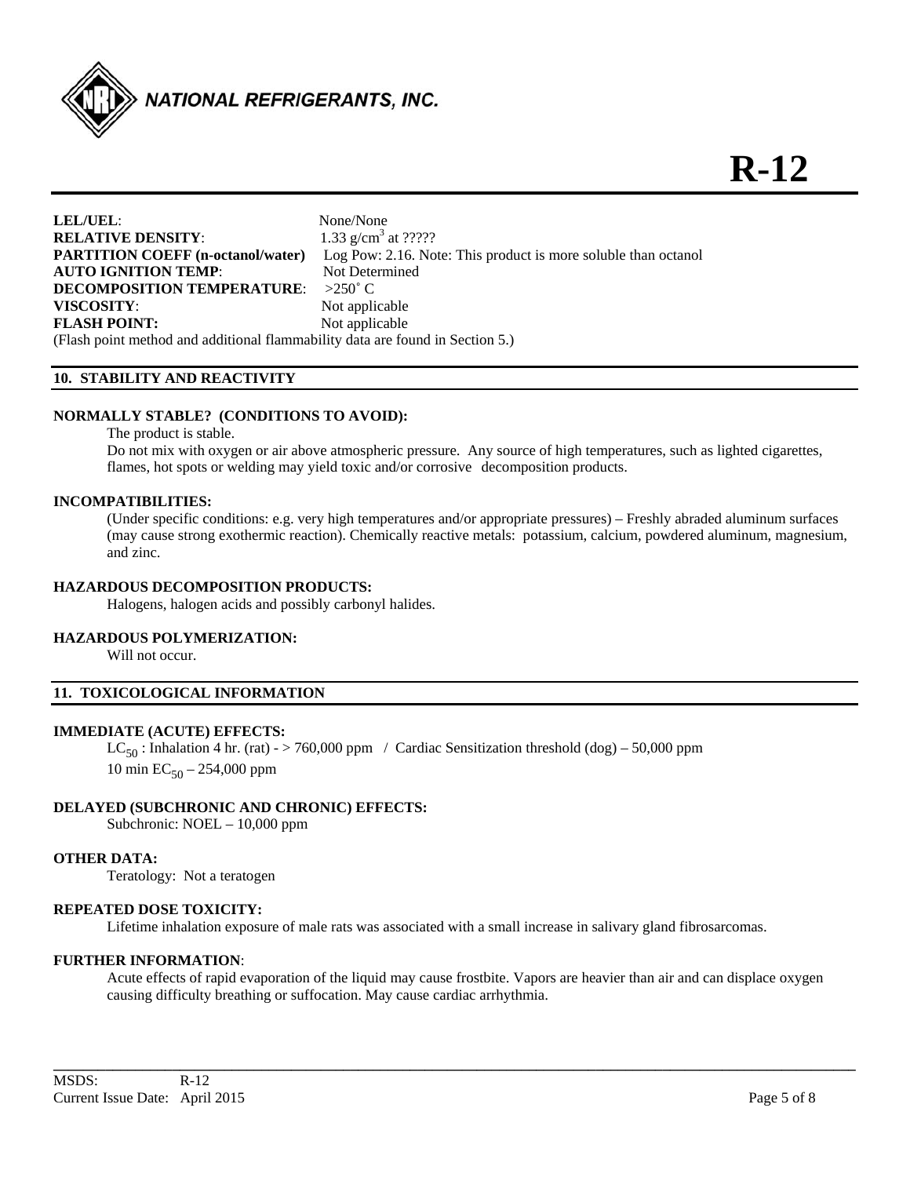

| LEL/UEL:                                                                      | None/None                                                      |
|-------------------------------------------------------------------------------|----------------------------------------------------------------|
| <b>RELATIVE DENSITY:</b>                                                      | 1.33 $g/cm3$ at ?????                                          |
| <b>PARTITION COEFF (n-octanol/water)</b>                                      | Log Pow: 2.16. Note: This product is more soluble than octanol |
| <b>AUTO IGNITION TEMP:</b>                                                    | Not Determined                                                 |
| <b>DECOMPOSITION TEMPERATURE:</b>                                             | $>250^{\circ}$ C.                                              |
| VISCOSITY:                                                                    | Not applicable                                                 |
| <b>FLASH POINT:</b>                                                           | Not applicable                                                 |
| (Flash point method and additional flammability data are found in Section 5.) |                                                                |

#### **10. STABILITY AND REACTIVITY**

#### **NORMALLY STABLE? (CONDITIONS TO AVOID):**

The product is stable.

Do not mix with oxygen or air above atmospheric pressure. Any source of high temperatures, such as lighted cigarettes, flames, hot spots or welding may yield toxic and/or corrosive decomposition products.

#### **INCOMPATIBILITIES:**

 (Under specific conditions: e.g. very high temperatures and/or appropriate pressures) – Freshly abraded aluminum surfaces (may cause strong exothermic reaction). Chemically reactive metals: potassium, calcium, powdered aluminum, magnesium, and zinc.

#### **HAZARDOUS DECOMPOSITION PRODUCTS:**

Halogens, halogen acids and possibly carbonyl halides.

#### **HAZARDOUS POLYMERIZATION:**

Will not occur.

#### **11. TOXICOLOGICAL INFORMATION**

#### **IMMEDIATE (ACUTE) EFFECTS:**

LC<sub>50</sub>: Inhalation 4 hr. (rat) - > 760,000 ppm / Cardiac Sensitization threshold (dog) – 50,000 ppm 10 min  $EC_{50} - 254,000$  ppm

#### **DELAYED (SUBCHRONIC AND CHRONIC) EFFECTS:**

Subchronic: NOEL – 10,000 ppm

#### **OTHER DATA:**

Teratology: Not a teratogen

#### **REPEATED DOSE TOXICITY:**

Lifetime inhalation exposure of male rats was associated with a small increase in salivary gland fibrosarcomas.

#### **FURTHER INFORMATION**:

Acute effects of rapid evaporation of the liquid may cause frostbite. Vapors are heavier than air and can displace oxygen causing difficulty breathing or suffocation. May cause cardiac arrhythmia.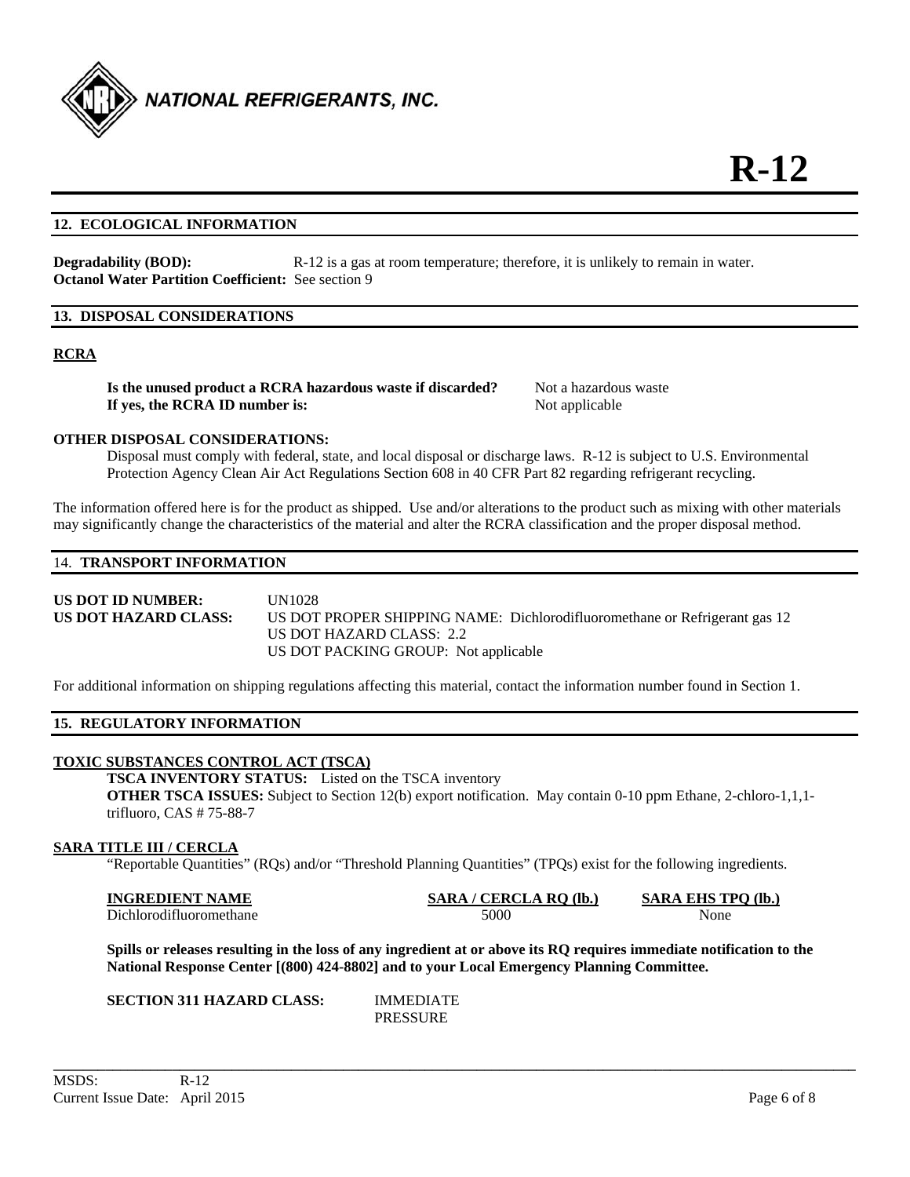

#### **12. ECOLOGICAL INFORMATION**

**Degradability (BOD):** R-12 is a gas at room temperature; therefore, it is unlikely to remain in water. **Octanol Water Partition Coefficient:** See section 9

#### **13. DISPOSAL CONSIDERATIONS**

#### **RCRA**

**Is the unused product a RCRA hazardous waste if discarded?** Not a hazardous waste **If yes, the RCRA ID number is:** Not applicable

#### **OTHER DISPOSAL CONSIDERATIONS:**

 Disposal must comply with federal, state, and local disposal or discharge laws. R-12 is subject to U.S. Environmental Protection Agency Clean Air Act Regulations Section 608 in 40 CFR Part 82 regarding refrigerant recycling.

The information offered here is for the product as shipped. Use and/or alterations to the product such as mixing with other materials may significantly change the characteristics of the material and alter the RCRA classification and the proper disposal method.

#### 14. **TRANSPORT INFORMATION**

**US DOT ID NUMBER:** UN1028 **US DOT HAZARD CLASS:** US DOT PROPER SHIPPING NAME: Dichlorodifluoromethane or Refrigerant gas 12 US DOT HAZARD CLASS: 2.2 US DOT PACKING GROUP: Not applicable

For additional information on shipping regulations affecting this material, contact the information number found in Section 1.

#### **15. REGULATORY INFORMATION**

#### **TOXIC SUBSTANCES CONTROL ACT (TSCA)**

**TSCA INVENTORY STATUS:** Listed on the TSCA inventory **OTHER TSCA ISSUES:** Subject to Section 12(b) export notification. May contain 0-10 ppm Ethane, 2-chloro-1,1,1 trifluoro, CAS # 75-88-7

#### **SARA TITLE III / CERCLA**

"Reportable Quantities" (RQs) and/or "Threshold Planning Quantities" (TPQs) exist for the following ingredients.

| <b>INGREDIENT NAME</b>  | SARA / CERCLA RO (lb.) | <b>SARA EHS TPO (lb.)</b> |
|-------------------------|------------------------|---------------------------|
| Dichlorodifluoromethane | 5000                   | None                      |

**Spills or releases resulting in the loss of any ingredient at or above its RQ requires immediate notification to the National Response Center [(800) 424-8802] and to your Local Emergency Planning Committee.** 

**SECTION 311 HAZARD CLASS:** IMMEDIATE

PRESSURE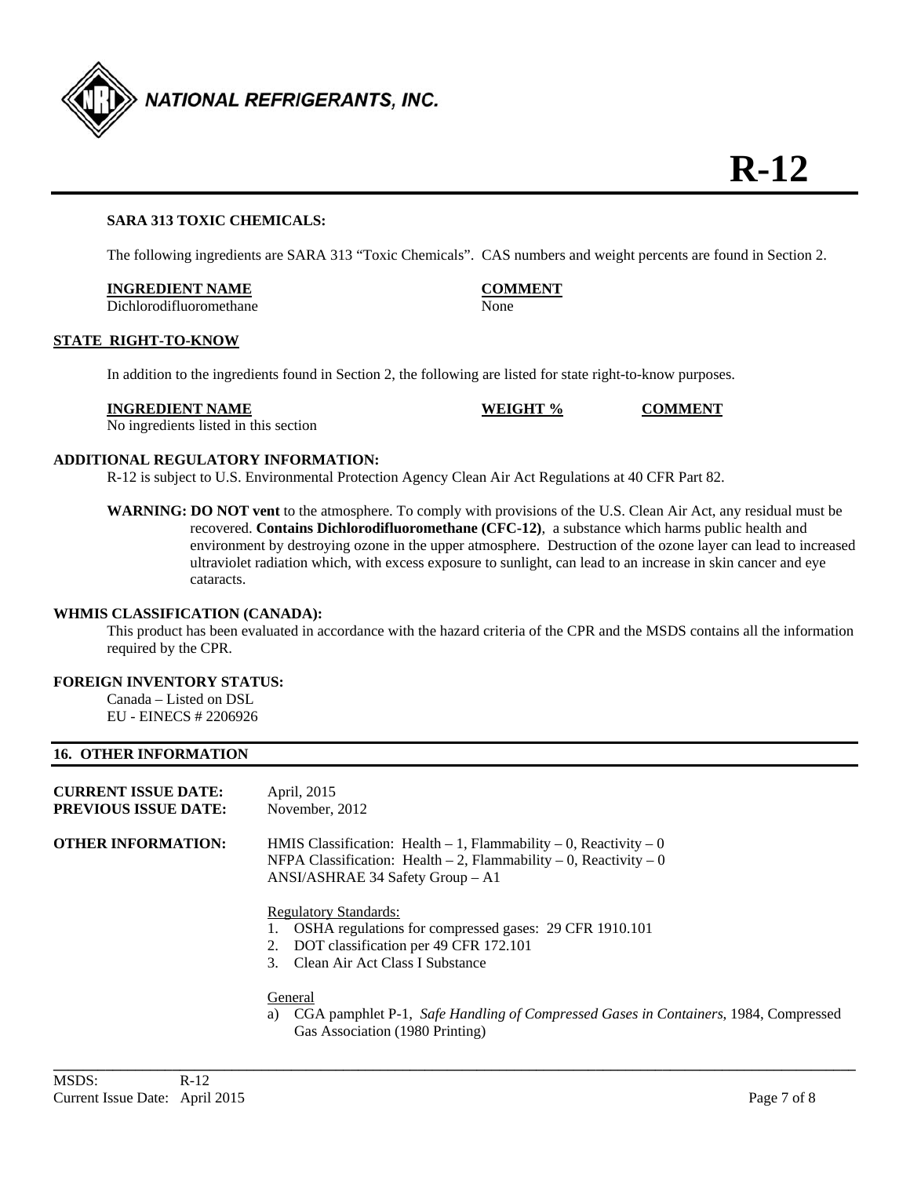

#### **SARA 313 TOXIC CHEMICALS:**

The following ingredients are SARA 313 "Toxic Chemicals". CAS numbers and weight percents are found in Section 2.

#### **INGREDIENT NAME COMMENT**

Dichlorodifluoromethane None

#### **STATE RIGHT-TO-KNOW**

In addition to the ingredients found in Section 2, the following are listed for state right-to-know purposes.

#### **INGREDIENT NAME WEIGHT % COMMENT**

No ingredients listed in this section

#### **ADDITIONAL REGULATORY INFORMATION:**

R-12 is subject to U.S. Environmental Protection Agency Clean Air Act Regulations at 40 CFR Part 82.

**WARNING: DO NOT vent** to the atmosphere. To comply with provisions of the U.S. Clean Air Act, any residual must be recovered. **Contains Dichlorodifluoromethane (CFC-12)**, a substance which harms public health and environment by destroying ozone in the upper atmosphere. Destruction of the ozone layer can lead to increased ultraviolet radiation which, with excess exposure to sunlight, can lead to an increase in skin cancer and eye cataracts.

#### **WHMIS CLASSIFICATION (CANADA):**

 This product has been evaluated in accordance with the hazard criteria of the CPR and the MSDS contains all the information required by the CPR.

#### **FOREIGN INVENTORY STATUS:**

Canada – Listed on DSL EU - EINECS # 2206926

#### **16. OTHER INFORMATION**

| <b>CURRENT ISSUE DATE:</b><br><b>PREVIOUS ISSUE DATE:</b> | April, 2015<br>November, 2012                                                                                                                                                                                                                                                                                                                                          |
|-----------------------------------------------------------|------------------------------------------------------------------------------------------------------------------------------------------------------------------------------------------------------------------------------------------------------------------------------------------------------------------------------------------------------------------------|
| OTHER INFORMATION:                                        | HMIS Classification: Health $-1$ , Flammability $-0$ , Reactivity $-0$<br>NFPA Classification: Health $-2$ , Flammability $-0$ , Reactivity $-0$<br>ANSI/ASHRAE 34 Safety Group - A1<br><b>Regulatory Standards:</b><br>OSHA regulations for compressed gases: 29 CFR 1910.101<br>DOT classification per 49 CFR 172.101<br>2.<br>Clean Air Act Class I Substance<br>3. |
|                                                           | General                                                                                                                                                                                                                                                                                                                                                                |

a) CGA pamphlet P-1, *Safe Handling of Compressed Gases in Containers*, 1984, Compressed Gas Association (1980 Printing)